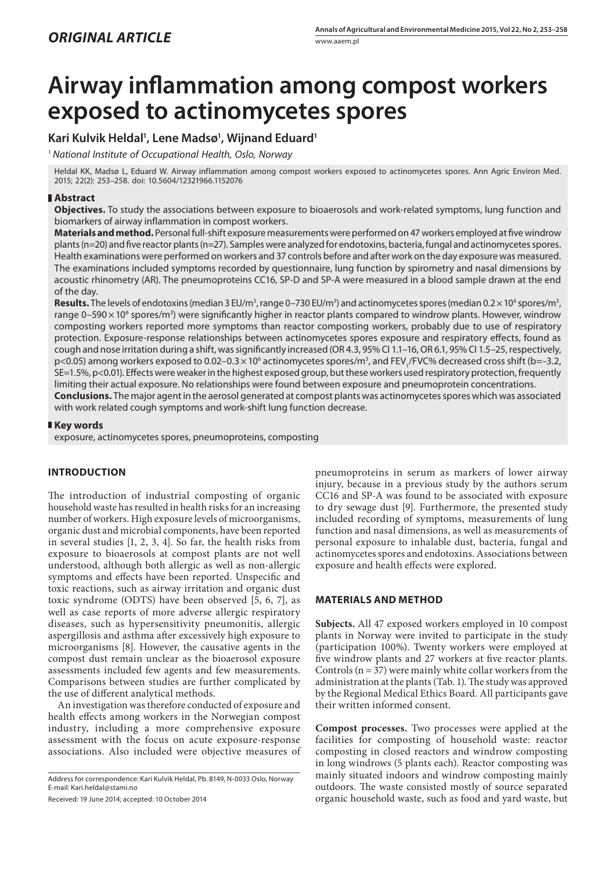# **Airway inflammation among compost workers exposed to actinomycetes spores**

## **Kari Kulvik Heldal1 , Lene Madsø1 , Wijnand Eduard1**

<sup>1</sup> *National Institute of Occupational Health, Oslo, Norway*

Heldal KK, Madsø L, Eduard W. Airway inflammation among compost workers exposed to actinomycetes spores. Ann Agric Environ Med. 2015; 22(2): 253–258. doi: 10.5604/12321966.1152076

## **Abstract**

**Objectives.** To study the associations between exposure to bioaerosols and work-related symptoms, lung function and biomarkers of airway inflammation in compost workers.

**Materials and method.** Personal full-shift exposure measurements were performed on 47 workers employed at five windrow plants (n=20) and five reactor plants (n=27). Samples were analyzed for endotoxins, bacteria, fungal and actinomycetes spores. Health examinations were performed on workers and 37 controls before and after work on the day exposure was measured. The examinations included symptoms recorded by questionnaire, lung function by spirometry and nasal dimensions by acoustic rhinometry (AR). The pneumoproteins CC16, SP-D and SP-A were measured in a blood sample drawn at the end of the day.

**Results.** The levels of endotoxins (median 3 EU/m<sup>3</sup>, range 0–730 EU/m<sup>3</sup>) and actinomycetes spores (median 0.2  $\times$  10<sup>6</sup> spores/m<sup>3</sup>, range 0–590 $\times$ 10 $^{\rm 6}$  spores/m $^{\rm 3)}$  were significantly higher in reactor plants compared to windrow plants. However, windrow composting workers reported more symptoms than reactor composting workers, probably due to use of respiratory protection. Exposure-response relationships between actinomycetes spores exposure and respiratory effects, found as cough and nose irritation during a shift, was significantly increased (OR 4.3, 95% CI 1.1–16, OR 6.1, 95% CI 1.5–25, respectively, p<0.05) among workers exposed to 0.02–0.3 × 10<sup>6</sup> actinomycetes spores/m<sup>3</sup>, and FEV<sub>1</sub>/FVC% decreased cross shift (b=-3.2, SE=1.5%, p<0.01). Effects were weaker in the highest exposed group, but these workers used respiratory protection, frequently limiting their actual exposure. No relationships were found between exposure and pneumoprotein concentrations. **Conclusions.** The major agent in the aerosol generated at compost plants was actinomycetes spores which was associated

with work related cough symptoms and work-shift lung function decrease.

### **Key words**

exposure, actinomycetes spores, pneumoproteins, composting

## **INTRODUCTION**

The introduction of industrial composting of organic household waste has resulted in health risks for an increasing number of workers. High exposure levels of microorganisms, organic dust and microbial components, have been reported in several studies [1, 2, 3, 4]. So far, the health risks from exposure to bioaerosols at compost plants are not well understood, although both allergic as well as non-allergic symptoms and effects have been reported. Unspecific and toxic reactions, such as airway irritation and organic dust toxic syndrome (ODTS) have been observed [5, 6, 7], as well as case reports of more adverse allergic respiratory diseases, such as hypersensitivity pneumonitis, allergic aspergillosis and asthma after excessively high exposure to microorganisms [8]. However, the causative agents in the compost dust remain unclear as the bioaerosol exposure assessments included few agents and few measurements. Comparisons between studies are further complicated by the use of different analytical methods.

An investigation was therefore conducted of exposure and health effects among workers in the Norwegian compost industry, including a more comprehensive exposure assessment with the focus on acute exposure-response associations. Also included were objective measures of

Address for correspondence: Kari Kulvik Heldal, Pb. 8149, N-0033 Oslo, Norway E-mail: Kari.heldal@stami.no

Received: 19 June 2014; accepted: 10 October 2014

pneumoproteins in serum as markers of lower airway injury, because in a previous study by the authors serum CC16 and SP-A was found to be associated with exposure to dry sewage dust [9]. Furthermore, the presented study included recording of symptoms, measurements of lung function and nasal dimensions, as well as measurements of personal exposure to inhalable dust, bacteria, fungal and actinomycetes spores and endotoxins. Associations between exposure and health effects were explored.

## **MATERIALS AND METHOD**

**Subjects.** All 47 exposed workers employed in 10 compost plants in Norway were invited to participate in the study (participation 100%). Twenty workers were employed at five windrow plants and 27 workers at five reactor plants. Controls ( $n = 37$ ) were mainly white collar workers from the administration at the plants (Tab. 1). The study was approved by the Regional Medical Ethics Board. All participants gave their written informed consent.

**Compost processes.** Two processes were applied at the facilities for composting of household waste: reactor composting in closed reactors and windrow composting in long windrows (5 plants each). Reactor composting was mainly situated indoors and windrow composting mainly outdoors. The waste consisted mostly of source separated organic household waste, such as food and yard waste, but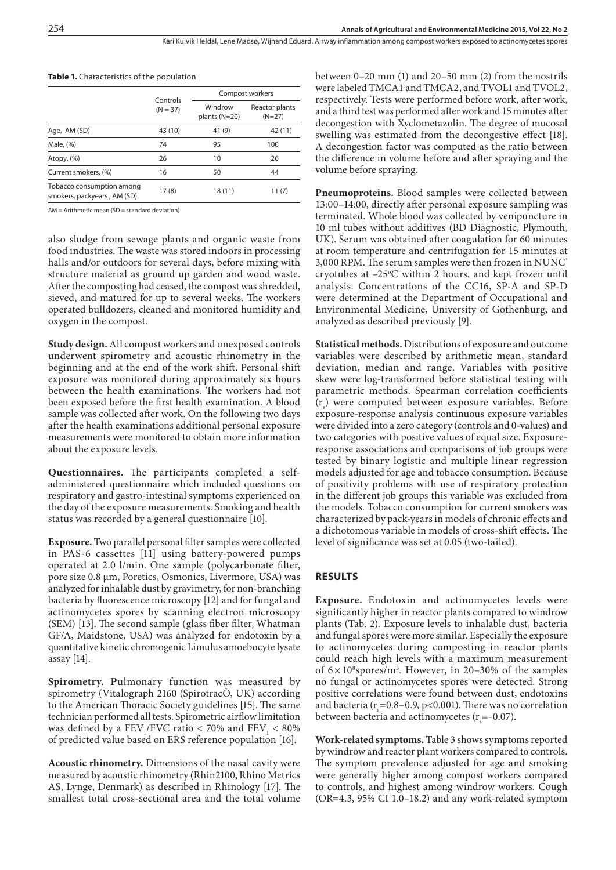Kari Kulvik Heldal, Lene Madsø, Wijnand Eduard. Airway inflammation among compost workers exposed to actinomycetes spores

|                                                          |                        | Compost workers            |                            |  |  |
|----------------------------------------------------------|------------------------|----------------------------|----------------------------|--|--|
|                                                          | Controls<br>$(N = 37)$ | Windrow<br>plants $(N=20)$ | Reactor plants<br>$(N=27)$ |  |  |
| Age, AM (SD)                                             | 43 (10)                | 41 (9)                     | 42 (11)                    |  |  |
| Male, (%)                                                | 74                     | 95                         | 100                        |  |  |
| Atopy, (%)                                               | 26                     | 10                         | 26                         |  |  |
| Current smokers, (%)                                     | 16                     | 50                         | 44                         |  |  |
| Tobacco consumption among<br>smokers, packyears, AM (SD) | 17(8)                  | 18(11)                     | 11(7)                      |  |  |

| <b>Table 1.</b> Characteristics of the population |  |
|---------------------------------------------------|--|
|---------------------------------------------------|--|

 $AM = Arithmetic$  mean  $(SD = standard deviation)$ 

also sludge from sewage plants and organic waste from food industries. The waste was stored indoors in processing halls and/or outdoors for several days, before mixing with structure material as ground up garden and wood waste. After the composting had ceased, the compost was shredded, sieved, and matured for up to several weeks. The workers operated bulldozers, cleaned and monitored humidity and oxygen in the compost.

**Study design.** All compost workers and unexposed controls underwent spirometry and acoustic rhinometry in the beginning and at the end of the work shift. Personal shift exposure was monitored during approximately six hours between the health examinations. The workers had not been exposed before the first health examination. A blood sample was collected after work. On the following two days after the health examinations additional personal exposure measurements were monitored to obtain more information about the exposure levels.

**Questionnaires.** The participants completed a selfadministered questionnaire which included questions on respiratory and gastro-intestinal symptoms experienced on the day of the exposure measurements. Smoking and health status was recorded by a general questionnaire [10].

**Exposure.** Two parallel personal filter samples were collected in PAS-6 cassettes [11] using battery-powered pumps operated at 2.0 l/min. One sample (polycarbonate filter, pore size 0.8 µm, Poretics, Osmonics, Livermore, USA) was analyzed for inhalable dust by gravimetry, for non-branching bacteria by fluorescence microscopy [12] and for fungal and actinomycetes spores by scanning electron microscopy (SEM) [13]. The second sample (glass fiber filter, Whatman GF/A, Maidstone, USA) was analyzed for endotoxin by a quantitative kinetic chromogenic Limulus amoebocyte lysate assay [14].

**Spirometry. P**ulmonary function was measured by spirometry (Vitalograph 2160 (SpirotracÒ, UK) according to the American Thoracic Society guidelines [15]. The same technician performed all tests. Spirometric airflow limitation was defined by a  $\text{FEV}_1/\text{FVC}$  ratio < 70% and  $\text{FEV}_1$  < 80% of predicted value based on ERS reference population [16].

**Acoustic rhinometry.** Dimensions of the nasal cavity were measured by acoustic rhinometry (Rhin2100, Rhino Metrics AS, Lynge, Denmark) as described in Rhinology [17]. The smallest total cross-sectional area and the total volume

between 0–20 mm (1) and 20–50 mm (2) from the nostrils were labeled TMCA1 and TMCA2, and TVOL1 and TVOL2, respectively. Tests were performed before work, after work, and a third test was performed after work and 15 minutes after decongestion with Xyclometazolin. The degree of mucosal swelling was estimated from the decongestive effect [18]. A decongestion factor was computed as the ratio between the difference in volume before and after spraying and the volume before spraying.

**Pneumoproteins.** Blood samples were collected between 13:00–14:00, directly after personal exposure sampling was terminated. Whole blood was collected by venipuncture in 10 ml tubes without additives (BD Diagnostic, Plymouth, UK). Serum was obtained after coagulation for 60 minutes at room temperature and centrifugation for 15 minutes at 3,000 RPM. The serum samples were then frozen in NUNC<sup>®</sup> cryotubes at  $-25^{\circ}$ C within 2 hours, and kept frozen until analysis. Concentrations of the CC16, SP-A and SP-D were determined at the Department of Occupational and Environmental Medicine, University of Gothenburg, and analyzed as described previously [9].

**Statistical methods.** Distributions of exposure and outcome variables were described by arithmetic mean, standard deviation, median and range. Variables with positive skew were log-transformed before statistical testing with parametric methods. Spearman correlation coefficients  $(r<sub>s</sub>)$  were computed between exposure variables. Before exposure-response analysis continuous exposure variables were divided into a zero category (controls and 0-values) and two categories with positive values of equal size. Exposureresponse associations and comparisons of job groups were tested by binary logistic and multiple linear regression models adjusted for age and tobacco consumption. Because of positivity problems with use of respiratory protection in the different job groups this variable was excluded from the models. Tobacco consumption for current smokers was characterized by pack-years in models of chronic effects and a dichotomous variable in models of cross-shift effects. The level of significance was set at 0.05 (two-tailed).

## **RESULTS**

**Exposure.** Endotoxin and actinomycetes levels were significantly higher in reactor plants compared to windrow plants (Tab. 2). Exposure levels to inhalable dust, bacteria and fungal spores were more similar. Especially the exposure to actinomycetes during composting in reactor plants could reach high levels with a maximum measurement of  $6 \times 10^8$  spores/m<sup>3</sup>. However, in 20–30% of the samples no fungal or actinomycetes spores were detected. Strong positive correlations were found between dust, endotoxins and bacteria ( $r_s$ =0.8–0.9, p<0.001). There was no correlation between bacteria and actinomycetes ( $r_{\rm s}$ =-0.07).

**Work-related symptoms.** Table 3 shows symptoms reported by windrow and reactor plant workers compared to controls. The symptom prevalence adjusted for age and smoking were generally higher among compost workers compared to controls, and highest among windrow workers. Cough (OR=4.3, 95% CI 1.0–18.2) and any work-related symptom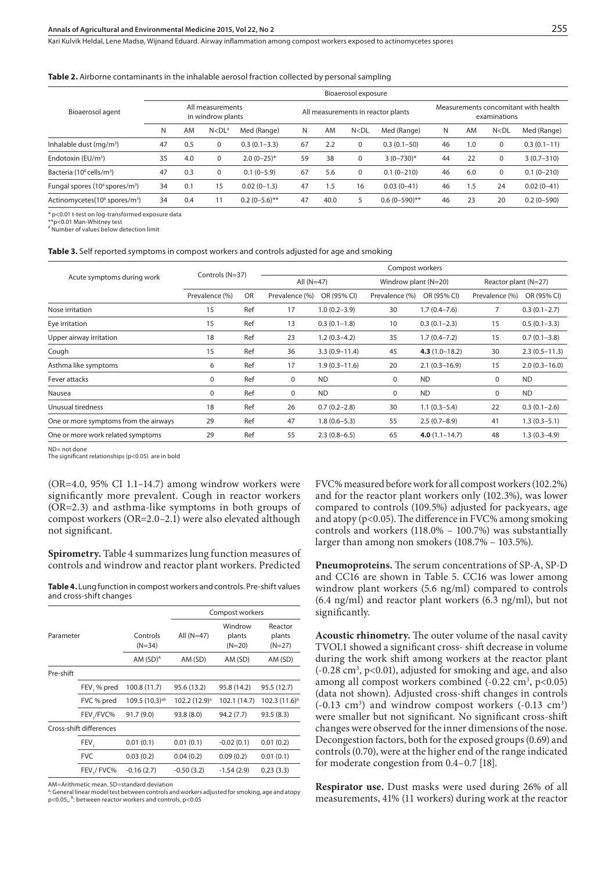Kari Kulvik Heldal, Lene Madsø, Wijnand Eduard . Airway inflammation among compost workers exposed to actinomycetes spores

#### **Table 2.** Airborne contaminants in the inhalable aerosol fraction collected by personal sampling

|                                                        | Bioaerosol exposure |                                       |             |                  |    |                                    |                    |                 |                                                      |     |                    |                |
|--------------------------------------------------------|---------------------|---------------------------------------|-------------|------------------|----|------------------------------------|--------------------|-----------------|------------------------------------------------------|-----|--------------------|----------------|
| Bioaerosol agent                                       |                     | All measurements<br>in windrow plants |             |                  |    | All measurements in reactor plants |                    |                 | Measurements concomitant with health<br>examinations |     |                    |                |
|                                                        | N                   | AM                                    | $N < D L^*$ | Med (Range)      | N  | AM                                 | N < D <sub>L</sub> | Med (Range)     | N                                                    | AM  | N < D <sub>L</sub> | Med (Range)    |
| Inhalable dust $(mq/m^3)$                              | 47                  | 0.5                                   | $\mathbf 0$ | $0.3(0.1 - 3.3)$ | 67 | 2.2                                | 0                  | $0.3(0.1-50)$   | 46                                                   | 1.0 | 0                  | $0.3(0.1-11)$  |
| Endotoxin (EU/m <sup>3</sup> )                         | 35                  | 4.0                                   | $\mathbf 0$ | $2.0(0-25)$ *    | 59 | 38                                 | 0                  | $3(0-730)*$     | 44                                                   | 22  | 0                  | $3(0.7 - 310)$ |
| Bacteria (10 <sup>6</sup> cells/m <sup>3</sup> )       | 47                  | 0.3                                   | 0           | $0.1(0-5.9)$     | 67 | 5.6                                | 0                  | $0.1(0 - 210)$  | 46                                                   | 6.0 | 0                  | $0.1(0-210)$   |
| Fungal spores (10 <sup>6</sup> spores/m <sup>3</sup> ) | 34                  | 0.1                                   | 15          | $0.02(0-1.3)$    | 47 | 1.5                                | 16                 | $0.03(0 - 41)$  | 46                                                   | ۱.5 | 24                 | $0.02(0-41)$   |
| Actinomycetes (10 <sup>6</sup> spores/m <sup>3</sup> ) | 34                  | 0.4                                   |             | $0.2(0-5.6)$ **  | 47 | 40.0                               |                    | $0.6(0-590)$ ** | 46                                                   | 23  | 20                 | $0.2(0-590)$   |

\* p<0.01 t-test on log-transformed exposure data

\*\*p<0.01 Man-Whitney test # Number of values below detection limit

#### **Table 3.** Self reported symptoms in compost workers and controls adjusted for age and smoking

|                                       | Controls (N=37) |           | Compost workers |                   |                |                      |                |                      |  |
|---------------------------------------|-----------------|-----------|-----------------|-------------------|----------------|----------------------|----------------|----------------------|--|
| Acute symptoms during work            |                 |           |                 | All $(N=47)$      |                | Windrow plant (N=20) |                | Reactor plant (N=27) |  |
|                                       | Prevalence (%)  | <b>OR</b> | Prevalence (%)  | OR (95% CI)       | Prevalence (%) | OR (95% CI)          | Prevalence (%) | OR (95% CI)          |  |
| Nose irritation                       | 15              | Ref       | 17              | $1.0(0.2 - 3.9)$  | 30             | $1.7(0.4 - 7.6)$     |                | $0.3(0.1 - 2.7)$     |  |
| Eye irritation                        | 15              | Ref       | 13              | $0.3(0.1-1.8)$    | 10             | $0.3(0.1-2.3)$       | 15             | $0.5(0.1-3.3)$       |  |
| Upper airway irritation               | 18              | Ref       | 23              | $1.2(0.3-4.2)$    | 35             | $1.7(0.4 - 7.2)$     | 15             | $0.7(0.1 - 3.8)$     |  |
| Cough                                 | 15              | Ref       | 36              | $3.3(0.9 - 11.4)$ | 45             | $4.3(1.0-18.2)$      | 30             | $2.3(0.5 - 11.3)$    |  |
| Asthma like symptoms                  | 6               | Ref       | 17              | $1.9(0.3 - 11.6)$ | 20             | $2.1(0.3 - 16.9)$    | 15             | $2.0(0.3 - 16.0)$    |  |
| Fever attacks                         | $\mathbf 0$     | Ref       | $\mathbf 0$     | <b>ND</b>         | 0              | <b>ND</b>            | 0              | <b>ND</b>            |  |
| Nausea                                | $\mathbf 0$     | Ref       | $\mathbf 0$     | <b>ND</b>         | 0              | <b>ND</b>            | 0              | <b>ND</b>            |  |
| Unusual tiredness                     | 18              | Ref       | 26              | $0.7(0.2 - 2.8)$  | 30             | $1.1(0.3-5.4)$       | 22             | $0.3(0.1-2.6)$       |  |
| One or more symptoms from the airways | 29              | Ref       | 47              | $1.8(0.6 - 5.3)$  | 55             | $2.5(0.7-8.9)$       | 41             | $1.3(0.3-5.1)$       |  |
| One or more work related symptoms     | 29              | Ref       | 55              | $2.3(0.8-6.5)$    | 65             | $4.0(1.1 - 14.7)$    | 48             | $1.3(0.3-4.9)$       |  |
|                                       |                 |           |                 |                   |                |                      |                |                      |  |

ND= not done

The significant relationships (p<0.05) are in bold

(OR=4.0, 95% CI 1.1–14.7) among windrow workers were significantly more prevalent. Cough in reactor workers (OR=2.3) and asthma-like symptoms in both groups of compost workers (OR=2.0–2.1) were also elevated although not significant.

**Spirometry.** Table 4 summarizes lung function measures of controls and windrow and reactor plant workers. Predicted

**Table 4.** Lung function in compost workers and controls. Pre-shift values and cross-shift changes

|                         |                  |                            | Compost workers           |                               |                               |  |  |  |  |
|-------------------------|------------------|----------------------------|---------------------------|-------------------------------|-------------------------------|--|--|--|--|
| Parameter               |                  | Controls<br>$(N=34)$       | All $(N=47)$              | Windrow<br>plants<br>$(N=20)$ | Reactor<br>plants<br>$(N=27)$ |  |  |  |  |
|                         |                  | AM $(SD)^A$                | AM (SD)                   | AM (SD)                       | AM (SD)                       |  |  |  |  |
| Pre-shift               |                  |                            |                           |                               |                               |  |  |  |  |
|                         | FEV, % pred      | 100.8 (11.7)               | 95.6 (13.2)               | 95.8 (14.2)                   | 95.5 (12.7)                   |  |  |  |  |
|                         | FVC % pred       | 109.5 (10.3) <sup>ab</sup> | 102.2 (12.9) <sup>a</sup> | 102.1 (14.7)                  | $102.3(11.6)^{b}$             |  |  |  |  |
|                         | FEV,/FVC%        | 91.7(9.0)                  | 93.8 (8.0)                | 94.2(7.7)                     | 93.5(8.3)                     |  |  |  |  |
| Cross-shift differences |                  |                            |                           |                               |                               |  |  |  |  |
|                         | FEV <sub>1</sub> | 0.01(0.1)                  | 0.01(0.1)                 | $-0.02(0.1)$                  | 0.01(0.2)                     |  |  |  |  |
|                         | <b>FVC</b>       | 0.03(0.2)                  | 0.04(0.2)                 | 0.09(0.2)                     | 0.01(0.1)                     |  |  |  |  |
|                         | FEV / FVC%       | $-0.16(2.7)$               | $-0.50(3.2)$              | $-1.54(2.9)$                  | 0.23(3.3)                     |  |  |  |  |
|                         |                  |                            |                           |                               |                               |  |  |  |  |

AM=Arithmetic mean. SD=standard deviation

a: General linear model test between controls and workers adjusted for smoking, age and atopy p<0.05,, b: between reactor workers and controls, p<0.05

FVC% measured before work for all compost workers (102.2%) and for the reactor plant workers only (102.3%), was lower compared to controls (109.5%) adjusted for packyears, age and atopy ( $p<0.05$ ). The difference in FVC% among smoking controls and workers (118.0% – 100.7%) was substantially larger than among non smokers (108.7% – 103.5%).

**Pneumoproteins.** The serum concentrations of SP-A, SP-D and CC16 are shown in Table 5. CC16 was lower among windrow plant workers (5.6 ng/ml) compared to controls (6.4 ng/ml) and reactor plant workers (6.3 ng/ml), but not significantly.

**Acoustic rhinometry.** The outer volume of the nasal cavity TVOL1 showed a significant cross- shift decrease in volume during the work shift among workers at the reactor plant  $(-0.28 \text{ cm}^3, \text{p} < 0.01)$ , adjusted for smoking and age, and also among all compost workers combined  $(-0.22 \text{ cm}^3, \text{ p} < 0.05)$ (data not shown). Adjusted cross-shift changes in controls  $(-0.13 \text{ cm}^3)$  and windrow compost workers  $(-0.13 \text{ cm}^3)$ were smaller but not significant. No significant cross-shift changes were observed for the inner dimensions of the nose. Decongestion factors, both for the exposed groups (0.69) and controls (0.70), were at the higher end of the range indicated for moderate congestion from 0.4–0.7 [18].

**Respirator use.** Dust masks were used during 26% of all measurements, 41% (11 workers) during work at the reactor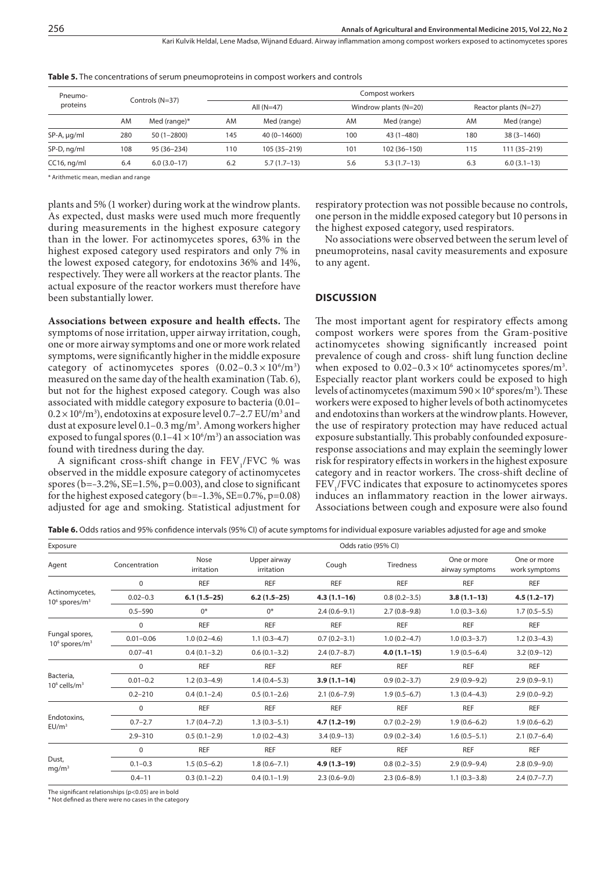| Pneumo-        |     |                 |              | Compost workers |     |                       |     |                       |  |  |  |
|----------------|-----|-----------------|--------------|-----------------|-----|-----------------------|-----|-----------------------|--|--|--|
| proteins       |     | Controls (N=37) | All $(N=47)$ |                 |     | Windrow plants (N=20) |     | Reactor plants (N=27) |  |  |  |
|                | AM  | Med (range)*    | AM           | Med (range)     | AM  | Med (range)           | AM  | Med (range)           |  |  |  |
| SP-A, µg/ml    | 280 | $50(1 - 2800)$  | 145          | 40 (0-14600)    | 100 | $43(1 - 480)$         | 180 | $38(3 - 1460)$        |  |  |  |
| SP-D, ng/ml    | 108 | 95 (36-234)     | 110          | 105 (35-219)    | 101 | 102 (36-150)          | 115 | 111 (35-219)          |  |  |  |
| $CC16$ , ng/ml | 6.4 | $6.0(3.0-17)$   | 6.2          | $5.7(1.7-13)$   | 5.6 | $5.3(1.7-13)$         | 6.3 | $6.0(3.1-13)$         |  |  |  |

**Table 5.** The concentrations of serum pneumoproteins in compost workers and controls

\* Arithmetic mean, median and range

plants and 5% (1 worker) during work at the windrow plants. As expected, dust masks were used much more frequently during measurements in the highest exposure category than in the lower. For actinomycetes spores, 63% in the highest exposed category used respirators and only 7% in the lowest exposed category, for endotoxins 36% and 14%, respectively. They were all workers at the reactor plants. The actual exposure of the reactor workers must therefore have been substantially lower.

**Associations between exposure and health effects.** The symptoms of nose irritation, upper airway irritation, cough, one or more airway symptoms and one or more work related symptoms, were significantly higher in the middle exposure category of actinomycetes spores  $(0.02-0.3 \times 10^6/\text{m}^3)$ measured on the same day of the health examination (Tab. 6), but not for the highest exposed category. Cough was also associated with middle category exposure to bacteria (0.01–  $0.2 \times 10^6$ /m<sup>3</sup>), endotoxins at exposure level 0.7–2.7 EU/m<sup>3</sup> and dust at exposure level 0.1–0.3 mg/m3 . Among workers higher exposed to fungal spores  $(0.1-41 \times 10^6/m^3)$  an association was found with tiredness during the day.

A significant cross-shift change in  $FEV<sub>1</sub>/FVC$  % was observed in the middle exposure category of actinomycetes spores ( $b=-3.2\%$ ,  $SE=1.5\%$ ,  $p=0.003$ ), and close to significant for the highest exposed category (b=–1.3%, SE=0.7%, p=0.08) adjusted for age and smoking. Statistical adjustment for

respiratory protection was not possible because no controls, one person in the middle exposed category but 10 persons in the highest exposed category, used respirators.

No associations were observed between the serum level of pneumoproteins, nasal cavity measurements and exposure to any agent.

#### **DISCUSSION**

The most important agent for respiratory effects among compost workers were spores from the Gram-positive actinomycetes showing significantly increased point prevalence of cough and cross- shift lung function decline when exposed to  $0.02-0.3 \times 10^6$  actinomycetes spores/m<sup>3</sup>. Especially reactor plant workers could be exposed to high levels of actinomycetes (maximum  $590 \times 10^6$  spores/m<sup>3</sup>). These workers were exposed to higher levels of both actinomycetes and endotoxins than workers at the windrow plants. However, the use of respiratory protection may have reduced actual exposure substantially. This probably confounded exposureresponse associations and may explain the seemingly lower risk for respiratory effects in workers in the highest exposure category and in reactor workers. The cross-shift decline of  $FEV<sub>1</sub>/FVC$  indicates that exposure to actinomycetes spores induces an inflammatory reaction in the lower airways. Associations between cough and exposure were also found

Table 6. Odds ratios and 95% confidence intervals (95% CI) of acute symptoms for individual exposure variables adjusted for age and smoke

| Exposure                                      |               |                    | Odds ratio (95% CI)        |                  |                  |                                |                              |  |  |  |  |  |
|-----------------------------------------------|---------------|--------------------|----------------------------|------------------|------------------|--------------------------------|------------------------------|--|--|--|--|--|
| Agent                                         | Concentration | Nose<br>irritation | Upper airway<br>irritation | Cough            | Tiredness        | One or more<br>airway symptoms | One or more<br>work symptoms |  |  |  |  |  |
|                                               | $\Omega$      | REF                | REF                        | <b>REF</b>       | <b>REF</b>       | <b>REF</b>                     | <b>REF</b>                   |  |  |  |  |  |
| Actinomycetes,<br>$106$ spores/m <sup>3</sup> | $0.02 - 0.3$  | $6.1(1.5-25)$      | $6.2(1.5-25)$              | $4.3(1.1-16)$    | $0.8(0.2 - 3.5)$ | $3.8(1.1-13)$                  | $4.5(1.2 - 17)$              |  |  |  |  |  |
|                                               | $0.5 - 590$   | $0*$               | $0*$                       | $2.4(0.6-9.1)$   | $2.7(0.8-9.8)$   | $1.0(0.3-3.6)$                 | $1.7(0.5-5.5)$               |  |  |  |  |  |
|                                               | 0             | REF                | REF                        | <b>REF</b>       | <b>REF</b>       | REF                            | <b>REF</b>                   |  |  |  |  |  |
| Fungal spores,<br>$106$ spores/m <sup>3</sup> | $0.01 - 0.06$ | $1.0(0.2 - 4.6)$   | $1.1(0.3-4.7)$             | $0.7(0.2 - 3.1)$ | $1.0(0.2 - 4.7)$ | $1.0(0.3-3.7)$                 | $1.2(0.3-4.3)$               |  |  |  |  |  |
|                                               | $0.07 - 41$   | $0.4(0.1 - 3.2)$   | $0.6(0.1-3.2)$             | $2.4(0.7-8.7)$   | $4.0(1.1-15)$    | $1.9(0.5-6.4)$                 | $3.2(0.9-12)$                |  |  |  |  |  |
|                                               | 0             | <b>REF</b>         | <b>REF</b>                 | <b>REF</b>       | <b>REF</b>       | <b>REF</b>                     | <b>REF</b>                   |  |  |  |  |  |
| Bacteria,<br>$10^6$ cells/m <sup>3</sup>      | $0.01 - 0.2$  | $1.2(0.3-4.9)$     | $1.4(0.4-5.3)$             | $3.9(1.1-14)$    | $0.9(0.2 - 3.7)$ | $2.9(0.9-9.2)$                 | $2.9(0.9-9.1)$               |  |  |  |  |  |
|                                               | $0.2 - 210$   | $0.4(0.1 - 2.4)$   | $0.5(0.1-2.6)$             | $2.1(0.6 - 7.9)$ | $1.9(0.5-6.7)$   | $1.3(0.4-4.3)$                 | $2.9(0.0-9.2)$               |  |  |  |  |  |
|                                               | $\mathbf 0$   | <b>REF</b>         | <b>REF</b>                 | <b>REF</b>       | <b>REF</b>       | <b>REF</b>                     | <b>REF</b>                   |  |  |  |  |  |
| Endotoxins,<br>EU/m <sup>3</sup>              | $0.7 - 2.7$   | $1.7(0.4 - 7.2)$   | $1.3(0.3-5.1)$             | $4.7(1.2-19)$    | $0.7(0.2 - 2.9)$ | $1.9(0.6-6.2)$                 | $1.9(0.6-6.2)$               |  |  |  |  |  |
|                                               | $2.9 - 310$   | $0.5(0.1-2.9)$     | $1.0(0.2 - 4.3)$           | $3.4(0.9-13)$    | $0.9(0.2 - 3.4)$ | $1.6(0.5-5.1)$                 | $2.1(0.7-6.4)$               |  |  |  |  |  |
|                                               | $\mathbf 0$   | <b>REF</b>         | <b>REF</b>                 | <b>REF</b>       | <b>REF</b>       | <b>REF</b>                     | <b>REF</b>                   |  |  |  |  |  |
| Dust,<br>mq/m <sup>3</sup>                    | $0.1 - 0.3$   | $1.5(0.5-6.2)$     | $1.8(0.6 - 7.1)$           | $4.9(1.3-19)$    | $0.8(0.2 - 3.5)$ | $2.9(0.9-9.4)$                 | $2.8(0.9 - 9.0)$             |  |  |  |  |  |
|                                               | $0.4 - 11$    | $0.3(0.1-2.2)$     | $0.4(0.1-1.9)$             | $2.3(0.6-9.0)$   | $2.3(0.6-8.9)$   | $1.1(0.3-3.8)$                 | $2.4(0.7 - 7.7)$             |  |  |  |  |  |

The significant relationships (p<0.05) are in bold

\* Not defined as there were no cases in the category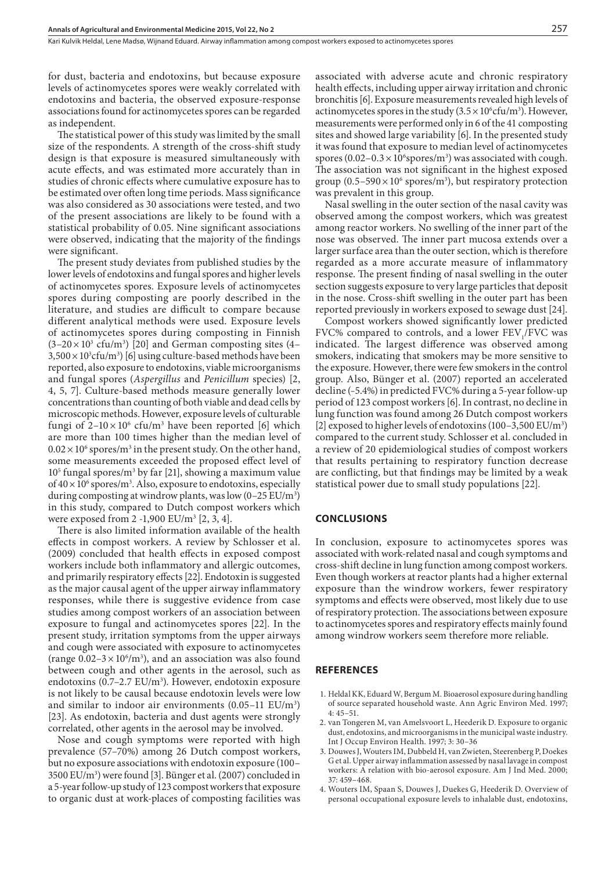for dust, bacteria and endotoxins, but because exposure levels of actinomycetes spores were weakly correlated with endotoxins and bacteria, the observed exposure-response associations found for actinomycetes spores can be regarded as independent.

The statistical power of this study was limited by the small size of the respondents. A strength of the cross-shift study design is that exposure is measured simultaneously with acute effects, and was estimated more accurately than in studies of chronic effects where cumulative exposure has to be estimated over often long time periods. Mass significance was also considered as 30 associations were tested, and two of the present associations are likely to be found with a statistical probability of 0.05. Nine significant associations were observed, indicating that the majority of the findings were significant.

The present study deviates from published studies by the lower levels of endotoxins and fungal spores and higher levels of actinomycetes spores. Exposure levels of actinomycetes spores during composting are poorly described in the literature, and studies are difficult to compare because different analytical methods were used. Exposure levels of actinomycetes spores during composting in Finnish  $(3-20\times10^{3}$  cfu/m<sup>3</sup>) [20] and German composting sites (4–  $3,500\times10^3$ cfu/m<sup>3</sup>) [6] using culture-based methods have been reported, also exposure to endotoxins, viable microorganisms and fungal spores (*Aspergillus* and *Penicillum* species) [2, 4, 5, 7]. Culture-based methods measure generally lower concentrations than counting of both viable and dead cells by microscopic methods. However, exposure levels of culturable fungi of  $2-10 \times 10^6$  cfu/m<sup>3</sup> have been reported [6] which are more than 100 times higher than the median level of  $0.02 \times 10^6$  spores/m<sup>3</sup> in the present study. On the other hand, some measurements exceeded the proposed effect level of  $10<sup>5</sup>$  fungal spores/m<sup>3</sup> by far [21], showing a maximum value of  $40 \times 10^6$  spores/m<sup>3</sup>. Also, exposure to endotoxins, especially during composting at windrow plants, was low  $(0-25 \text{ EU/m}^3)$ in this study, compared to Dutch compost workers which were exposed from 2 -1,900 EU/m<sup>3</sup> [2, 3, 4].

There is also limited information available of the health effects in compost workers. A review by Schlosser et al. (2009) concluded that health effects in exposed compost workers include both inflammatory and allergic outcomes, and primarily respiratory effects [22]. Endotoxin is suggested as the major causal agent of the upper airway inflammatory responses, while there is suggestive evidence from case studies among compost workers of an association between exposure to fungal and actinomycetes spores [22]. In the present study, irritation symptoms from the upper airways and cough were associated with exposure to actinomycetes (range  $0.02 - 3 \times 10^6$ /m<sup>3</sup>), and an association was also found between cough and other agents in the aerosol, such as endotoxins (0.7-2.7 EU/m<sup>3</sup>). However, endotoxin exposure is not likely to be causal because endotoxin levels were low and similar to indoor air environments  $(0.05-11 \text{ EU/m}^3)$ [23]. As endotoxin, bacteria and dust agents were strongly correlated, other agents in the aerosol may be involved.

Nose and cough symptoms were reported with high prevalence (57–70%) among 26 Dutch compost workers, but no exposure associations with endotoxin exposure (100– 3500 EU/m3 ) were found [3]. Bünger et al. (2007) concluded in a 5-year follow-up study of 123 compost workers that exposure to organic dust at work-places of composting facilities was

associated with adverse acute and chronic respiratory health effects, including upper airway irritation and chronic bronchitis [6]. Exposure measurements revealed high levels of actinomycetes spores in the study  $(3.5 \times 10^{6} \text{c} \text{f} \text{u}/\text{m}^{3})$ . However, measurements were performed only in 6 of the 41 composting sites and showed large variability [6]. In the presented study it was found that exposure to median level of actinomycetes spores  $(0.02-0.3 \times 10^6 \text{spores/m}^3)$  was associated with cough. The association was not significant in the highest exposed group  $(0.5-590 \times 10^6 \text{ spores/m}^3)$ , but respiratory protection was prevalent in this group.

Nasal swelling in the outer section of the nasal cavity was observed among the compost workers, which was greatest among reactor workers. No swelling of the inner part of the nose was observed. The inner part mucosa extends over a larger surface area than the outer section, which is therefore regarded as a more accurate measure of inflammatory response. The present finding of nasal swelling in the outer section suggests exposure to very large particles that deposit in the nose. Cross-shift swelling in the outer part has been reported previously in workers exposed to sewage dust [24].

Compost workers showed significantly lower predicted FVC% compared to controls, and a lower  $FEV_1/FVC$  was indicated. The largest difference was observed among smokers, indicating that smokers may be more sensitive to the exposure. However, there were few smokers in the control group. Also, Bünger et al. (2007) reported an accelerated decline (–5.4%) in predicted FVC% during a 5-year follow-up period of 123 compost workers [6]. In contrast, no decline in lung function was found among 26 Dutch compost workers [2] exposed to higher levels of endotoxins  $(100-3,500 \text{ EU/m}^3)$ compared to the current study. Schlosser et al. concluded in a review of 20 epidemiological studies of compost workers that results pertaining to respiratory function decrease are conflicting, but that findings may be limited by a weak statistical power due to small study populations [22].

#### **CONCLUSIONS**

In conclusion, exposure to actinomycetes spores was associated with work-related nasal and cough symptoms and cross-shift decline in lung function among compost workers. Even though workers at reactor plants had a higher external exposure than the windrow workers, fewer respiratory symptoms and effects were observed, most likely due to use of respiratory protection. The associations between exposure to actinomycetes spores and respiratory effects mainly found among windrow workers seem therefore more reliable.

#### **REFERENCES**

- 1. Heldal KK, Eduard W, Bergum M. Bioaerosol exposure during handling of source separated household waste. Ann Agric Environ Med. 1997; 4: 45–51.
- 2. van Tongeren M, van Amelsvoort L, Heederik D. Exposure to organic dust, endotoxins, and microorganisms in the municipal waste industry. Int J Occup Environ Health. 1997; 3: 30–36
- 3. Douwes J, Wouters IM, Dubbeld H, van Zwieten, Steerenberg P, Doekes G et al. Upper airway inflammation assessed by nasal lavage in compost workers: A relation with bio-aerosol exposure. Am J Ind Med. 2000; 37: 459–468.
- 4. Wouters IM, Spaan S, Douwes J, Duekes G, Heederik D. Overview of personal occupational exposure levels to inhalable dust, endotoxins,